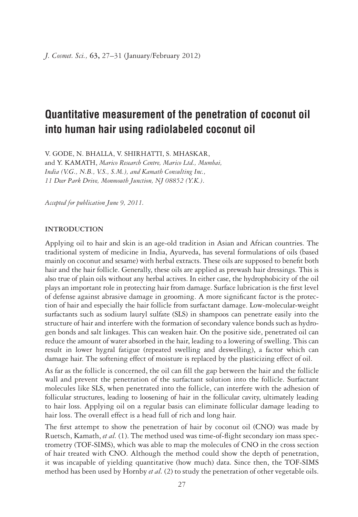# **Quantitative measurement of the penetration of coconut oil into human hair using radiolabeled coconut oil**

V. GODE, N. BHALLA, V. SHIRHATTI, S. MHASKAR,

and Y. KAMATH, *Marico Research Centre, Marico Ltd., Mumbai, India (V.G., N.B., V.S., S.M.), and Kamath Consulting Inc., 11 Deer Park Drive, Monmouth Junction, NJ 08852 (Y.K.)*.

*Accepted for publication June 9, 2011.*

# **INTRODUCTION**

Applying oil to hair and skin is an age-old tradition in Asian and African countries. The traditional system of medicine in India, Ayurveda, has several formulations of oils (based mainly on coconut and sesame) with herbal extracts. These oils are supposed to benefit both hair and the hair follicle. Generally, these oils are applied as prewash hair dressings. This is also true of plain oils without any herbal actives. In either case, the hydrophobicity of the oil plays an important role in protecting hair from damage. Surface lubrication is the first level of defense against abrasive damage in grooming. A more significant factor is the protection of hair and especially the hair follicle from surfactant damage. Low-molecular-weight surfactants such as sodium lauryl sulfate (SLS) in shampoos can penetrate easily into the structure of hair and interfere with the formation of secondary valence bonds such as hydrogen bonds and salt linkages. This can weaken hair. On the positive side, penetrated oil can reduce the amount of water absorbed in the hair, leading to a lowering of swelling. This can result in lower hygral fatigue (repeated swelling and deswelling), a factor which can damage hair. The softening effect of moisture is replaced by the plasticizing effect of oil.

As far as the follicle is concerned, the oil can fill the gap between the hair and the follicle wall and prevent the penetration of the surfactant solution into the follicle. Surfactant molecules like SLS, when penetrated into the follicle, can interfere with the adhesion of follicular structures, leading to loosening of hair in the follicular cavity, ultimately leading to hair loss. Applying oil on a regular basis can eliminate follicular damage leading to hair loss. The overall effect is a head full of rich and long hair.

The first attempt to show the penetration of hair by coconut oil (CNO) was made by Ruetsch, Kamath, *et al.* (1). The method used was time-of-flight secondary ion mass spectrometry (TOF-SIMS), which was able to map the molecules of CNO in the cross section of hair treated with CNO. Although the method could show the depth of penetration, it was incapable of yielding quantitative (how much) data. Since then, the TOF-SIMS method has been used by Hornby *et al.* (2) to study the penetration of other vegetable oils.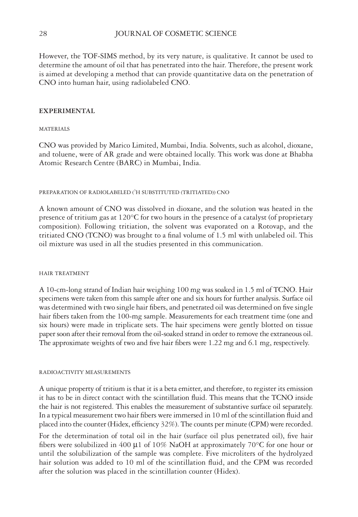However, the TOF-SIMS method, by its very nature, is qualitative. It cannot be used to determine the amount of oil that has penetrated into the hair. Therefore, the present work is aimed at developing a method that can provide quantitative data on the penetration of CNO into human hair, using radiolabeled CNO.

# **EXPERIMENTAL**

# MATERIALS

CNO was provided by Marico Limited, Mumbai, India. Solvents, such as alcohol, dioxane, and toluene, were of AR grade and were obtained locally. This work was done at Bhabha Atomic Research Centre (BARC) in Mumbai, India.

### PREPARATION OF RADIOLABELED ( ${}^{3}$ H SUBSTITUTED (TRITIATED)) CNO

A known amount of CNO was dissolved in dioxane, and the solution was heated in the presence of tritium gas at 120°C for two hours in the presence of a catalyst (of proprietary composition). Following tritiation, the solvent was evaporated on a Rotovap, and the tritiated CNO (TCNO) was brought to a final volume of  $1.5$  ml with unlabeled oil. This oil mixture was used in all the studies presented in this communication.

### HAIR TREATMENT

A 10-cm-long strand of Indian hair weighing 100 mg was soaked in 1.5 ml of TCNO. Hair specimens were taken from this sample after one and six hours for further analysis. Surface oil was determined with two single hair fibers, and penetrated oil was determined on five single hair fibers taken from the 100-mg sample. Measurements for each treatment time (one and six hours) were made in triplicate sets. The hair specimens were gently blotted on tissue paper soon after their removal from the oil-soaked strand in order to remove the extraneous oil. The approximate weights of two and five hair fibers were 1.22 mg and 6.1 mg, respectively.

#### RADIOACTIVITY MEASUREMENTS

A unique property of tritium is that it is a beta emitter, and therefore, to register its emission it has to be in direct contact with the scintillation fluid. This means that the TCNO inside the hair is not registered. This enables the measurement of substantive surface oil separately. In a typical measurement two hair fibers were immersed in 10 ml of the scintillation fluid and placed into the counter (Hidex, efficiency 32%). The counts per minute (CPM) were recorded.

For the determination of total oil in the hair (surface oil plus penetrated oil), five hair fibers were solubilized in 400  $\mu$ 1 of 10% NaOH at approximately 70°C for one hour or until the solubilization of the sample was complete. Five microliters of the hydrolyzed hair solution was added to 10 ml of the scintillation fluid, and the CPM was recorded after the solution was placed in the scintillation counter (Hidex).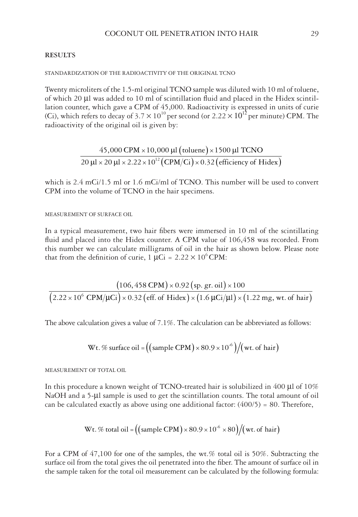# **RESULTS**

# STANDARDIZATION OF THE RADIOACTIVITY OF THE ORIGINAL TCNO

Twenty microliters of the 1.5-ml original TCNO sample was diluted with 10 ml of toluene, of which 20 μl was added to 10 ml of scintillation fluid and placed in the Hidex scintillation counter, which gave a CPM of 45,000. Radioactivity is expressed in units of curie (Ci), which refers to decay of 3.7  $\times$  10<sup>10</sup> per second (or 2.22  $\times$  10<sup>12</sup> per minute) CPM. The radioactivity of the original oil is given by:

$$
\frac{45,000 \text{ CPM} \times 10,000 \text{ }\mu\text{I (toluene)} \times 1500 \text{ }\mu\text{I TCNO}}{20 \text{ }\mu\text{I} \times 20 \text{ }\mu\text{I} \times 2.22 \times 10^{12} (\text{CPM/Ci}) \times 0.32 (\text{efficiency of Hidex})}
$$

which is  $2.4$  mCi/1.5 ml or  $1.6$  mCi/ml of TCNO. This number will be used to convert CPM into the volume of TCNO in the hair specimens.

MEASUREMENT OF SURFACE OIL

In a typical measurement, two hair fibers were immersed in 10 ml of the scintillating fluid and placed into the Hidex counter. A CPM value of 106,458 was recorded. From this number we can calculate milligrams of oil in the hair as shown below. Please note that from the definition of curie,  $1 \mu Ci = 2.22 \times 10^6 \text{CPM}$ :

 $(106, 458 \text{ CPM}) \times 0.92 \text{ (sp. gr. oil)}$  $\big( 2.22 \times 10^6 \text{ CPM}/\mu\text{Ci} \big) \times 0.32 \, \big( \text{eff. of Hidex} \big) \times \big( 1.6 \, \mu\text{Ci}/\mu\text{l} \big) \times \big( 1.22 \text{ mg, wt. of hair} \big)$  $106, 458 \text{ CPM}$   $\times$  0.92 (sp. gr. oil)  $\times 100$  $2.22\times10^6\,$  CPM/ $\mu$ Ci  $)\times$  0.32 (eff. of Hidex )  $\times$  (1.6  $\mu$ Ci/ $\mu$ l)  $\times$  (1.22 mg, wt. of hair

The above calculation gives a value of 7.1%. The calculation can be abbreviated as follows:

Wt. % surface oil = 
$$
((\text{sample CPM}) \times 80.9 \times 10^{-6})/(\text{wt. of hair})
$$

MEASUREMENT OF TOTAL OIL

In this procedure a known weight of TCNO-treated hair is solubilized in 400 μl of 10% NaOH and a 5-µl sample is used to get the scintillation counts. The total amount of oil can be calculated exactly as above using one additional factor:  $(400/5) = 80$ . Therefore,

   Wt. % total oil = sample CPM ×80.9×10 ×80 wt. of hair -6

For a CPM of 47,100 for one of the samples, the wt.% total oil is 50%. Subtracting the surface oil from the total gives the oil penetrated into the fiber. The amount of surface oil in the sample taken for the total oil measurement can be calculated by the following formula: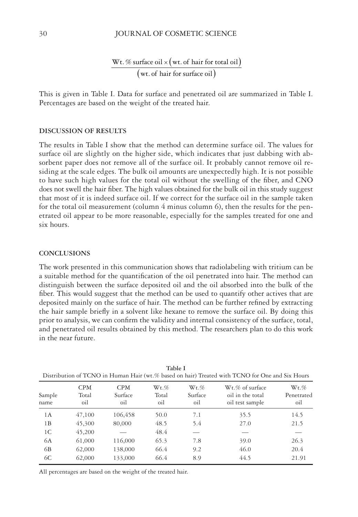#### 30 JOURNAL OF COSMETIC SCIENCE

(wt. of hair for total oil) (wt. of hair for surface oil) Wt. % surface oil  $\times$  (wt. of hair for total oil wt. of hair for surface oil

This is given in Table I. Data for surface and penetrated oil are summarized in Table I. Percentages are based on the weight of the treated hair.

# **DISCUSSION OF RESULTS**

The results in Table I show that the method can determine surface oil. The values for surface oil are slightly on the higher side, which indicates that just dabbing with absorbent paper does not remove all of the surface oil. It probably cannot remove oil residing at the scale edges. The bulk oil amounts are unexpectedly high. It is not possible to have such high values for the total oil without the swelling of the fiber, and CNO does not swell the hair fiber. The high values obtained for the bulk oil in this study suggest that most of it is indeed surface oil. If we correct for the surface oil in the sample taken for the total oil measurement (column 4 minus column 6), then the results for the penetrated oil appear to be more reasonable, especially for the samples treated for one and six hours.

# **CONCLUSIONS**

The work presented in this communication shows that radiolabeling with tritium can be a suitable method for the quantification of the oil penetrated into hair. The method can distinguish between the surface deposited oil and the oil absorbed into the bulk of the fiber. This would suggest that the method can be used to quantify other actives that are deposited mainly on the surface of hair. The method can be further refined by extracting the hair sample briefly in a solvent like hexane to remove the surface oil. By doing this prior to analysis, we can confirm the validity and internal consistency of the surface, total, and penetrated oil results obtained by this method. The researchers plan to do this work in the near future.

| Distribution of TCNO in Human Hair (wt.% based on hair) Treated with TCNO for One and Six Hours |                            |                              |                         |                           |                                                        |                              |
|-------------------------------------------------------------------------------------------------|----------------------------|------------------------------|-------------------------|---------------------------|--------------------------------------------------------|------------------------------|
| Sample<br>name                                                                                  | <b>CPM</b><br>Total<br>oil | <b>CPM</b><br>Surface<br>oil | $Wt.\%$<br>Total<br>oil | $Wt.\%$<br>Surface<br>oil | Wt.% of surface<br>oil in the total<br>oil test sample | $Wt.\%$<br>Penetrated<br>oil |
| 1A                                                                                              | 47,100                     | 106,458                      | 50.0                    | 7.1                       | 35.5                                                   | 14.5                         |
| 1B                                                                                              | 45,300                     | 80,000                       | 48.5                    | 5.4                       | 27.0                                                   | 21.5                         |
| 1 <sup>C</sup>                                                                                  | 45,200                     |                              | 48.4                    |                           |                                                        |                              |
| 6A                                                                                              | 61,000                     | 116,000                      | 65.3                    | 7.8                       | 39.0                                                   | 26.3                         |
| 6B                                                                                              | 62,000                     | 138,000                      | 66.4                    | 9.2                       | 46.0                                                   | 20.4                         |
| 6C                                                                                              | 62,000                     | 133,000                      | 66.4                    | 8.9                       | 44.5                                                   | 21.91                        |

**Table I**

All percentages are based on the weight of the treated hair.